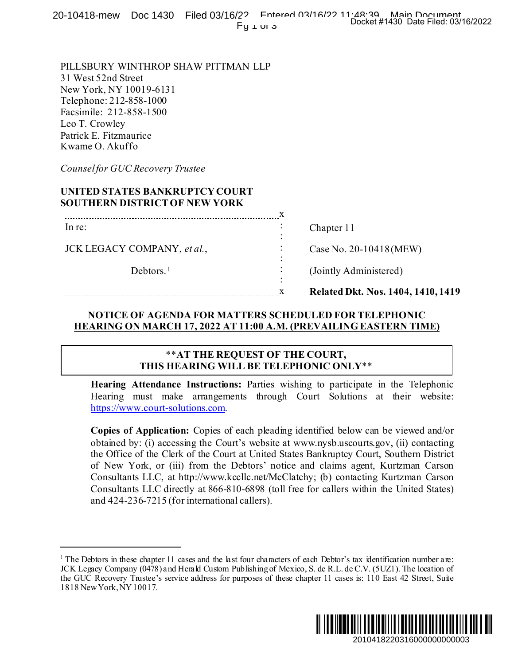20-10418-mew Doc 1430 Filed 03/16/22 Entered 03/16/20 11:48:39 Main Document Py <sub>1</sub> or 3

PILLSBURY WINTHROP SHAW PITTMAN LLP 31 West 52nd Street New York, NY 10019-6131 Telephone: 212-858-1000 Facsimile: 212-858-1500 Leo T. Crowley Patrick E. Fitzmaurice Kwame O. Akuffo

*Counselfor GUC Recovery Trustee*

# **UNITED STATES BANKRUPTCY COURT SOUTHERN DISTRICTOF NEW YORK**

|                             | <b>Related Dkt. Nos. 1404, 1410, 1419</b> |
|-----------------------------|-------------------------------------------|
| Debtors. $1$                | (Jointly Administered)                    |
| JCK LEGACY COMPANY, et al., | Case No. 20-10418 (MEW)                   |
| In re:                      | Chapter 11                                |
|                             |                                           |

### **NOTICE OF AGENDA FOR MATTERS SCHEDULED FOR TELEPHONIC HEARING ON MARCH 17, 2022 AT 11:00 A.M. (PREVAILING EASTERN TIME)**

#### \*\***AT THE REQUEST OF THE COURT, THIS HEARING WILL BE TELEPHONIC ONLY**\*\*

**Hearing Attendance Instructions:** Parties wishing to participate in the Telephonic Hearing must make arrangements through Court Solutions at their website: [https://www.court-solutions.com](https://www.court-solutions.com/).

**Copies of Application:** Copies of each pleading identified below can be viewed and/or obtained by: (i) accessing the Court's website at www.nysb.uscourts.gov, (ii) contacting the Office of the Clerk of the Court at United States Bankruptcy Court, Southern District of New York, or (iii) from the Debtors' notice and claims agent, Kurtzman Carson Consultants LLC, at http://www.kccllc.net/McClatchy; (b) contacting Kurtzman Carson Consultants LLC directly at 866-810-6898 (toll free for callers within the United States) and 424-236-7215 (for international callers). Docket #1430 Date Filed: 03/16/2022<br>
20-10418 (MEW)<br>
dministered)<br>
kt. Nos. 1404, 1410, 1419<br>
R TELEPHONIC<br>
G EASTERN TIME)<br>
<br>
LY\*\*<br>
<br>
eipate in the Telephonic<br>
coins at their website:<br>
cow can be viewed and/or<br>
court, So

<span id="page-0-0"></span><sup>&</sup>lt;sup>1</sup> The Debtors in these chapter 11 cases and the last four characters of each Debtor's tax identification number are: JCK Legacy Company (0478) and Herald Custom Publishing of Mexico, S. de R.L. de C.V. (5UZ1). The location of the GUC Recovery Trustee's service address for purposes of these chapter 11 cases is: 110 East 42 Street, Suite 1818 New York, NY 10017.

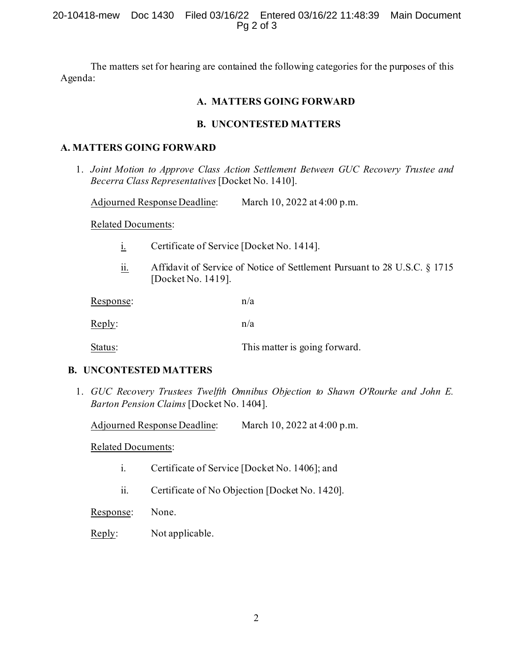The matters set for hearing are contained the following categories for the purposes of this Agenda:

## **A. MATTERS GOING FORWARD**

## **B. UNCONTESTED MATTERS**

## **A. MATTERS GOING FORWARD**

1. *Joint Motion to Approve Class Action Settlement Between GUC Recovery Trustee and Becerra Class Representatives* [Docket No. 1410].

Adjourned Response Deadline: March 10, 2022 at 4:00 p.m.

Related Documents:

- i. Certificate of Service [Docket No. 1414].
- ii. Affidavit of Service of Notice of Settlement Pursuant to 28 U.S.C. § 1715 [Docket No. 1419].

| Response: | n/a                           |
|-----------|-------------------------------|
| Reply:    | n/a                           |
| Status:   | This matter is going forward. |

# **B. UNCONTESTED MATTERS**

1. *GUC Recovery Trustees Twelfth Omnibus Objection to Shawn O'Rourke and John E. Barton Pension Claims* [Docket No. 1404].

Adjourned Response Deadline: March 10, 2022 at 4:00 p.m.

Related Documents:

- i. Certificate of Service [Docket No. 1406]; and
- ii. Certificate of No Objection [Docket No. 1420].

Response: None.

Reply: Not applicable.